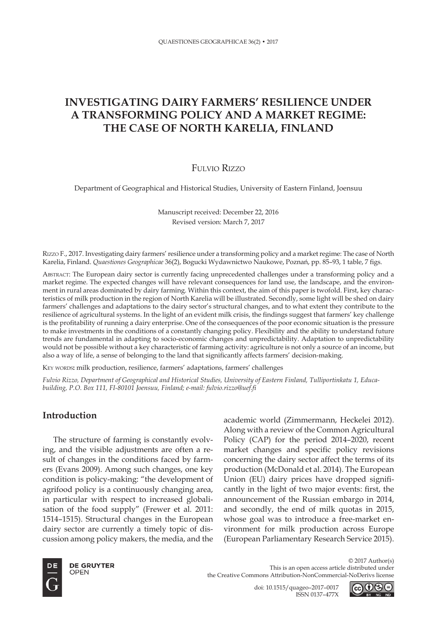# **INVESTIGATING DAIRY FARMERS' RESILIENCE UNDER A TRANSFORMING POLICY AND A MARKET REGIME: THE CASE OF NORTH KARELIA, FINLAND**

## Fulvio Rizzo

Department of Geographical and Historical Studies, University of Eastern Finland, Joensuu

Manuscript received: December 22, 2016 Revised version: March 7, 2017

Rizzo F., 2017. Investigating dairy farmers' resilience under a transforming policy and a market regime: The case of North Karelia, Finland. *Quaestiones Geographicae* 36(2), Bogucki Wydawnictwo Naukowe, Poznań, pp. 85–93, 1 table, 7 figs.

Abstract: The European dairy sector is currently facing unprecedented challenges under a transforming policy and a market regime. The expected changes will have relevant consequences for land use, the landscape, and the environment in rural areas dominated by dairy farming. Within this context, the aim of this paper is twofold. First, key characteristics of milk production in the region of North Karelia will be illustrated. Secondly, some light will be shed on dairy farmers' challenges and adaptations to the dairy sector's structural changes, and to what extent they contribute to the resilience of agricultural systems. In the light of an evident milk crisis, the findings suggest that farmers' key challenge is the profitability of running a dairy enterprise. One of the consequences of the poor economic situation is the pressure to make investments in the conditions of a constantly changing policy. Flexibility and the ability to understand future trends are fundamental in adapting to socio-economic changes and unpredictability. Adaptation to unpredictability would not be possible without a key characteristic of farming activity: agriculture is not only a source of an income, but also a way of life, a sense of belonging to the land that significantly affects farmers' decision-making.

KEY WORDS: milk production, resilience, farmers' adaptations, farmers' challenges

*Fulvio Rizzo, Department of Geographical and Historical Studies, University of Eastern Finland, Tulliportinkatu 1, Educabuilding, P.O. Box 111, FI-80101 Joensuu, Finland; e-mail: fulvio.rizzo@uef.fi*

### **Introduction**

The structure of farming is constantly evolving, and the visible adjustments are often a result of changes in the conditions faced by farmers (Evans 2009). Among such changes, one key condition is policy-making: "the development of agrifood policy is a continuously changing area, in particular with respect to increased globalisation of the food supply" (Frewer et al. 2011: 1514–1515). Structural changes in the European dairy sector are currently a timely topic of discussion among policy makers, the media, and the

academic world (Zimmermann, Heckelei 2012). Along with a review of the Common Agricultural Policy (CAP) for the period 2014–2020, recent market changes and specific policy revisions concerning the dairy sector affect the terms of its production (McDonald et al. 2014). The European Union (EU) dairy prices have dropped significantly in the light of two major events: first, the announcement of the Russian embargo in 2014, and secondly, the end of milk quotas in 2015, whose goal was to introduce a free-market environment for milk production across Europe (European Parliamentary Research Service 2015).



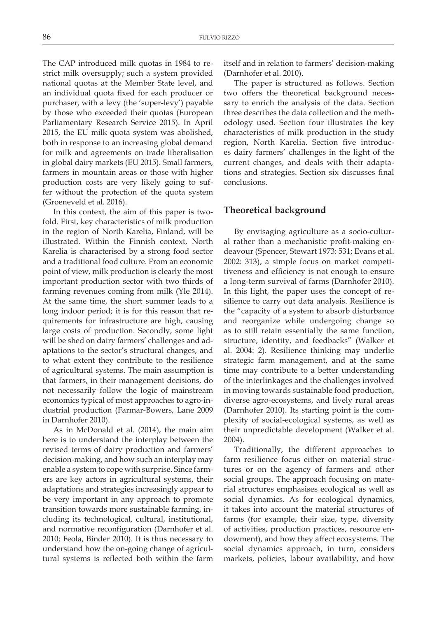The CAP introduced milk quotas in 1984 to restrict milk oversupply; such a system provided national quotas at the Member State level, and an individual quota fixed for each producer or purchaser, with a levy (the 'super-levy') payable by those who exceeded their quotas (European Parliamentary Research Service 2015). In April 2015, the EU milk quota system was abolished, both in response to an increasing global demand for milk and agreements on trade liberalisation in global dairy markets (EU 2015). Small farmers, farmers in mountain areas or those with higher production costs are very likely going to suffer without the protection of the quota system (Groeneveld et al. 2016).

In this context, the aim of this paper is twofold. First, key characteristics of milk production in the region of North Karelia, Finland, will be illustrated. Within the Finnish context, North Karelia is characterised by a strong food sector and a traditional food culture. From an economic point of view, milk production is clearly the most important production sector with two thirds of farming revenues coming from milk (Yle 2014). At the same time, the short summer leads to a long indoor period; it is for this reason that requirements for infrastructure are high, causing large costs of production. Secondly, some light will be shed on dairy farmers' challenges and adaptations to the sector's structural changes, and to what extent they contribute to the resilience of agricultural systems. The main assumption is that farmers, in their management decisions, do not necessarily follow the logic of mainstream economics typical of most approaches to agro-industrial production (Farmar-Bowers, Lane 2009 in Darnhofer 2010).

As in McDonald et al. (2014), the main aim here is to understand the interplay between the revised terms of dairy production and farmers' decision-making, and how such an interplay may enable a system to cope with surprise. Since farmers are key actors in agricultural systems, their adaptations and strategies increasingly appear to be very important in any approach to promote transition towards more sustainable farming, including its technological, cultural, institutional, and normative reconfiguration (Darnhofer et al. 2010; Feola, Binder 2010). It is thus necessary to understand how the on-going change of agricultural systems is reflected both within the farm itself and in relation to farmers' decision-making (Darnhofer et al. 2010).

The paper is structured as follows. Section two offers the theoretical background necessary to enrich the analysis of the data. Section three describes the data collection and the methodology used. Section four illustrates the key characteristics of milk production in the study region, North Karelia. Section five introduces dairy farmers' challenges in the light of the current changes, and deals with their adaptations and strategies. Section six discusses final conclusions.

#### **Theoretical background**

By envisaging agriculture as a socio-cultural rather than a mechanistic profit-making endeavour (Spencer, Stewart 1973: 531; Evans et al. 2002: 313), a simple focus on market competitiveness and efficiency is not enough to ensure a long-term survival of farms (Darnhofer 2010). In this light, the paper uses the concept of resilience to carry out data analysis. Resilience is the "capacity of a system to absorb disturbance and reorganize while undergoing change so as to still retain essentially the same function, structure, identity, and feedbacks" (Walker et al. 2004: 2). Resilience thinking may underlie strategic farm management, and at the same time may contribute to a better understanding of the interlinkages and the challenges involved in moving towards sustainable food production, diverse agro-ecosystems, and lively rural areas (Darnhofer 2010). Its starting point is the complexity of social-ecological systems, as well as their unpredictable development (Walker et al. 2004).

Traditionally, the different approaches to farm resilience focus either on material structures or on the agency of farmers and other social groups. The approach focusing on material structures emphasises ecological as well as social dynamics. As for ecological dynamics, it takes into account the material structures of farms (for example, their size, type, diversity of activities, production practices, resource endowment), and how they affect ecosystems. The social dynamics approach, in turn, considers markets, policies, labour availability, and how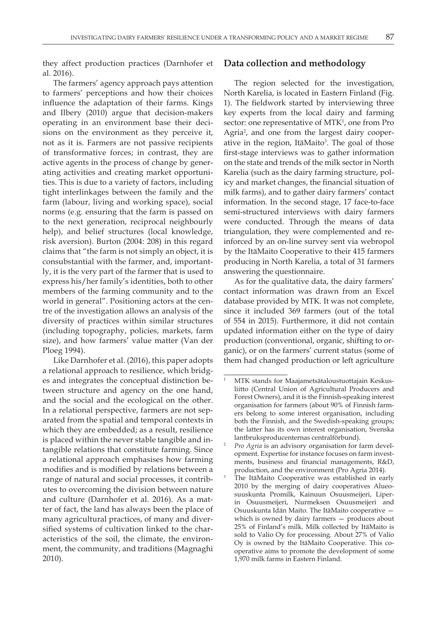they affect production practices (Darnhofer et al. 2016).

The farmers' agency approach pays attention to farmers' perceptions and how their choices influence the adaptation of their farms. Kings and Ilbery (2010) argue that decision-makers operating in an environment base their decisions on the environment as they perceive it, not as it is. Farmers are not passive recipients of transformative forces; in contrast, they are active agents in the process of change by generating activities and creating market opportunities. This is due to a variety of factors, including tight interlinkages between the family and the farm (labour, living and working space), social norms (e.g. ensuring that the farm is passed on to the next generation, reciprocal neighbourly help), and belief structures (local knowledge, risk aversion). Burton (2004: 208) in this regard claims that "the farm is not simply an object, it is consubstantial with the farmer, and, importantly, it is the very part of the farmer that is used to express his/her family's identities, both to other members of the farming community and to the world in general". Positioning actors at the centre of the investigation allows an analysis of the diversity of practices within similar structures (including topography, policies, markets, farm size), and how farmers' value matter (Van der Ploeg 1994).

Like Darnhofer et al. (2016), this paper adopts a relational approach to resilience, which bridges and integrates the conceptual distinction between structure and agency on the one hand, and the social and the ecological on the other. In a relational perspective, farmers are not separated from the spatial and temporal contexts in which they are embedded; as a result, resilience is placed within the never stable tangible and intangible relations that constitute farming. Since a relational approach emphasises how farming modifies and is modified by relations between a range of natural and social processes, it contributes to overcoming the division between nature and culture (Darnhofer et al. 2016). As a matter of fact, the land has always been the place of many agricultural practices, of many and diversified systems of cultivation linked to the characteristics of the soil, the climate, the environment, the community, and traditions (Magnaghi 2010).

#### **Data collection and methodology**

The region selected for the investigation, North Karelia, is located in Eastern Finland (Fig. 1). The fieldwork started by interviewing three key experts from the local dairy and farming sector: one representative of MTK<sup>1</sup>, one from Pro Agria<sup>2</sup>, and one from the largest dairy cooperative in the region, ItäMaito<sup>3</sup>. The goal of those first-stage interviews was to gather information on the state and trends of the milk sector in North Karelia (such as the dairy farming structure, policy and market changes, the financial situation of milk farms), and to gather dairy farmers' contact information. In the second stage, 17 face-to-face semi-structured interviews with dairy farmers were conducted. Through the means of data triangulation, they were complemented and reinforced by an on-line survey sent via webropol by the ItäMaito Cooperative to their 415 farmers producing in North Karelia, a total of 31 farmers answering the questionnaire.

As for the qualitative data, the dairy farmers' contact information was drawn from an Excel database provided by MTK. It was not complete, since it included 369 farmers (out of the total of 554 in 2015). Furthermore, it did not contain updated information either on the type of dairy production (conventional, organic, shifting to organic), or on the farmers' current status (some of them had changed production or left agriculture

<sup>1</sup> MTK stands for Maajametsätaloustuottajain Keskusliitto (Central Union of Agricultural Producers and Forest Owners), and it is the Finnish-speaking interest organisation for farmers (about 90% of Finnish farmers belong to some interest organisation, including both the Finnish, and the Swedish-speaking groups; the latter has its own interest organisation, Svenska lantbruksproducenternas centralförbund).<br>*Pro Agria* is an advisory organisation for farm devel-

opment. Expertise for instance focuses on farm investments, business and financial managements, R&D, production, and the environment (Pro Agria 2014).

The ItäMaito Cooperative was established in early 2010 by the merging of dairy cooperatives Alueosuuskunta Promilk, Kainuun Osuusmeijeri, Liperin Osuusmeijeri, Nurmeksen Osuusmeijeri and Osuuskunta Idän Maito. The ItäMaito cooperative which is owned by dairy farmers — produces about 25% of Finland's milk. Milk collected by ItäMaito is sold to Valio Oy for processing. About 27% of Valio Oy is owned by the ItäMaito Cooperative. This cooperative aims to promote the development of some 1,970 milk farms in Eastern Finland.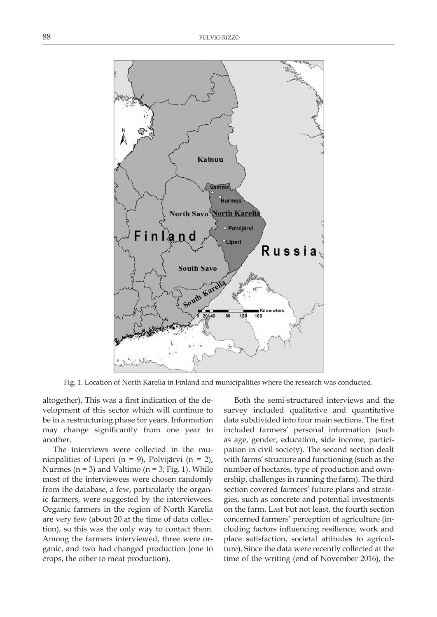

Fig. 1. Location of North Karelia in Finland and municipalities where the research was conducted.

altogether). This was a first indication of the development of this sector which will continue to be in a restructuring phase for years. Information may change significantly from one year to another.

The interviews were collected in the municipalities of Liperi (n = 9), Polvijärvi (n = 2), Nurmes ( $n = 3$ ) and Valtimo ( $n = 3$ ; Fig. 1). While most of the interviewees were chosen randomly from the database, a few, particularly the organic farmers, were suggested by the interviewees. Organic farmers in the region of North Karelia are very few (about 20 at the time of data collection), so this was the only way to contact them. Among the farmers interviewed, three were organic, and two had changed production (one to crops, the other to meat production).

Both the semi-structured interviews and the survey included qualitative and quantitative data subdivided into four main sections. The first included farmers' personal information (such as age, gender, education, side income, participation in civil society). The second section dealt with farms' structure and functioning (such as the number of hectares, type of production and ownership, challenges in running the farm). The third section covered farmers' future plans and strategies, such as concrete and potential investments on the farm. Last but not least, the fourth section concerned farmers' perception of agriculture (including factors influencing resilience, work and place satisfaction, societal attitudes to agriculture). Since the data were recently collected at the time of the writing (end of November 2016), the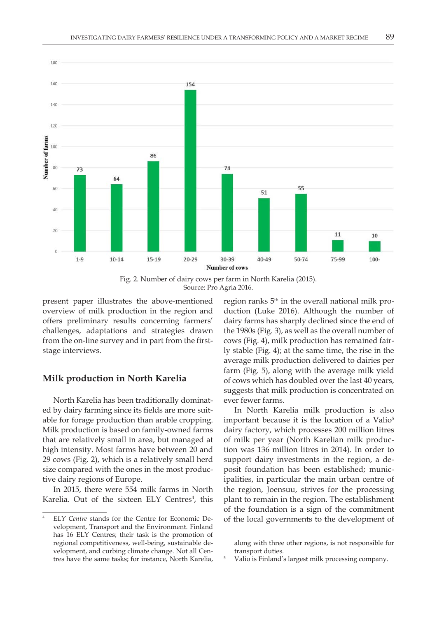

Fig. 2. Number of dairy cows per farm in North Karelia (2015). Source: Pro Agria 2016.

present paper illustrates the above-mentioned overview of milk production in the region and offers preliminary results concerning farmers' challenges, adaptations and strategies drawn from the on-line survey and in part from the firststage interviews.

#### **Milk production in North Karelia**

North Karelia has been traditionally dominated by dairy farming since its fields are more suitable for forage production than arable cropping. Milk production is based on family-owned farms that are relatively small in area, but managed at high intensity. Most farms have between 20 and 29 cows (Fig. 2), which is a relatively small herd size compared with the ones in the most productive dairy regions of Europe.

In 2015, there were 554 milk farms in North Karelia. Out of the sixteen ELY Centres<sup>4</sup>, this

region ranks  $5<sup>th</sup>$  in the overall national milk production (Luke 2016). Although the number of dairy farms has sharply declined since the end of the 1980s (Fig. 3), as well as the overall number of cows (Fig. 4), milk production has remained fairly stable (Fig. 4); at the same time, the rise in the average milk production delivered to dairies per farm (Fig. 5), along with the average milk yield of cows which has doubled over the last 40 years, suggests that milk production is concentrated on ever fewer farms.

In North Karelia milk production is also important because it is the location of a Valio<sup>5</sup> dairy factory, which processes 200 million litres of milk per year (North Karelian milk production was 136 million litres in 2014). In order to support dairy investments in the region, a deposit foundation has been established; municipalities, in particular the main urban centre of the region, Joensuu, strives for the processing plant to remain in the region. The establishment of the foundation is a sign of the commitment of the local governments to the development of

<sup>4</sup> *ELY Centre* stands for the Centre for Economic Development, Transport and the Environment. Finland has 16 ELY Centres; their task is the promotion of regional competitiveness, well-being, sustainable development, and curbing climate change. Not all Centres have the same tasks; for instance, North Karelia,

along with three other regions, is not responsible for transport duties.

<sup>5</sup> Valio is Finland's largest milk processing company.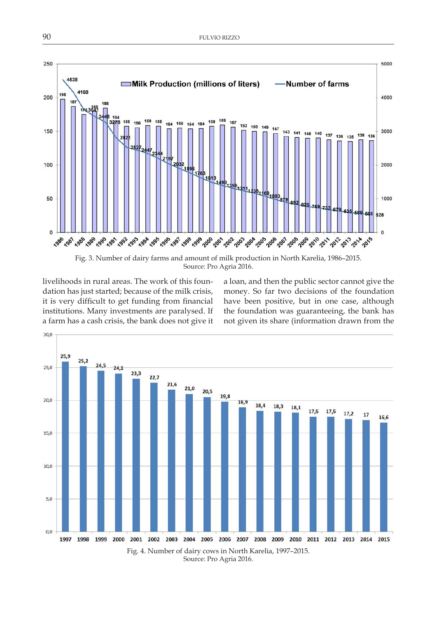

Source: Pro Agria 2016.

livelihoods in rural areas. The work of this foundation has just started; because of the milk crisis, it is very difficult to get funding from financial institutions. Many investments are paralysed. If a farm has a cash crisis, the bank does not give it

a loan, and then the public sector cannot give the money. So far two decisions of the foundation have been positive, but in one case, although the foundation was guaranteeing, the bank has not given its share (information drawn from the

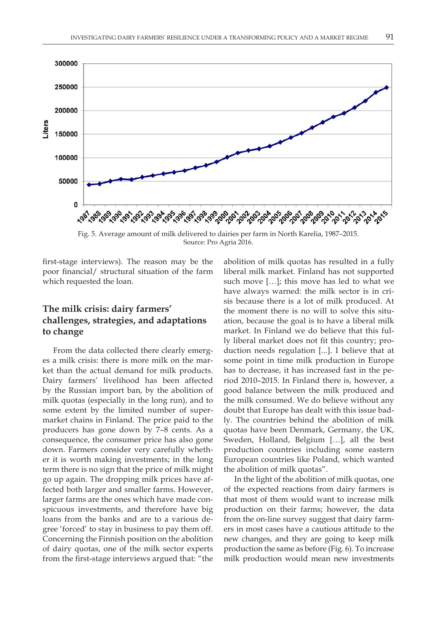

Fig. 5. Average amount of milk delivered to dairies per farm in North Karelia, 1987–2015. Source: Pro Agria 2016.

first-stage interviews). The reason may be the poor financial/ structural situation of the farm which requested the loan.

## **The milk crisis: dairy farmers' challenges, strategies, and adaptations to change**

From the data collected there clearly emerges a milk crisis: there is more milk on the market than the actual demand for milk products. Dairy farmers' livelihood has been affected by the Russian import ban, by the abolition of milk quotas (especially in the long run), and to some extent by the limited number of supermarket chains in Finland. The price paid to the producers has gone down by 7–8 cents. As a consequence, the consumer price has also gone down. Farmers consider very carefully whether it is worth making investments; in the long term there is no sign that the price of milk might go up again. The dropping milk prices have affected both larger and smaller farms. However, larger farms are the ones which have made conspicuous investments, and therefore have big loans from the banks and are to a various degree 'forced' to stay in business to pay them off. Concerning the Finnish position on the abolition of dairy quotas, one of the milk sector experts from the first-stage interviews argued that: "the

abolition of milk quotas has resulted in a fully liberal milk market. Finland has not supported such move […]; this move has led to what we have always warned: the milk sector is in crisis because there is a lot of milk produced. At the moment there is no will to solve this situation, because the goal is to have a liberal milk market. In Finland we do believe that this fully liberal market does not fit this country; production needs regulation [...]. I believe that at some point in time milk production in Europe has to decrease, it has increased fast in the period 2010–2015. In Finland there is, however, a good balance between the milk produced and the milk consumed. We do believe without any doubt that Europe has dealt with this issue badly. The countries behind the abolition of milk quotas have been Denmark, Germany, the UK, Sweden, Holland, Belgium […], all the best production countries including some eastern European countries like Poland, which wanted the abolition of milk quotas".

In the light of the abolition of milk quotas, one of the expected reactions from dairy farmers is that most of them would want to increase milk production on their farms; however, the data from the on-line survey suggest that dairy farmers in most cases have a cautious attitude to the new changes, and they are going to keep milk production the same as before (Fig. 6). To increase milk production would mean new investments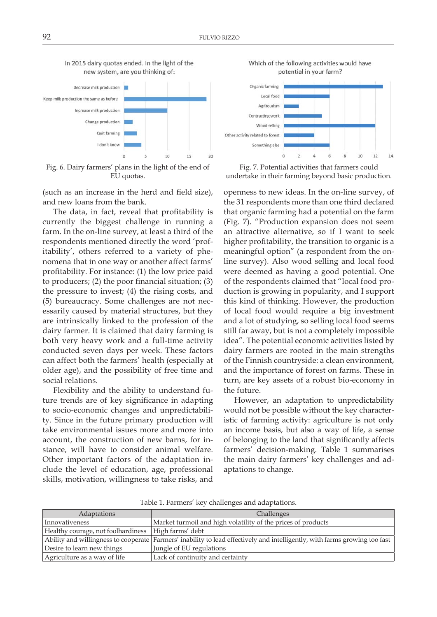

In 2015 dairy quotas ended. In the light of the

Fig. 6. Dairy farmers' plans in the light of the end of EU quotas.

(such as an increase in the herd and field size), and new loans from the bank.

The data, in fact, reveal that profitability is currently the biggest challenge in running a farm. In the on-line survey, at least a third of the respondents mentioned directly the word 'profitability', others referred to a variety of phenomena that in one way or another affect farms' profitability. For instance: (1) the low price paid to producers; (2) the poor financial situation; (3) the pressure to invest; (4) the rising costs, and (5) bureaucracy. Some challenges are not necessarily caused by material structures, but they are intrinsically linked to the profession of the dairy farmer. It is claimed that dairy farming is both very heavy work and a full-time activity conducted seven days per week. These factors can affect both the farmers' health (especially at older age), and the possibility of free time and social relations.

Flexibility and the ability to understand future trends are of key significance in adapting to socio-economic changes and unpredictability. Since in the future primary production will take environmental issues more and more into account, the construction of new barns, for instance, will have to consider animal welfare. Other important factors of the adaptation include the level of education, age, professional skills, motivation, willingness to take risks, and

Which of the following activities would have potential in your farm?



Fig. 7. Potential activities that farmers could undertake in their farming beyond basic production.

openness to new ideas. In the on-line survey, of the 31 respondents more than one third declared that organic farming had a potential on the farm (Fig. 7). "Production expansion does not seem an attractive alternative, so if I want to seek higher profitability, the transition to organic is a meaningful option" (a respondent from the online survey)*.* Also wood selling and local food were deemed as having a good potential. One of the respondents claimed that "local food production is growing in popularity, and I support this kind of thinking. However, the production of local food would require a big investment and a lot of studying, so selling local food seems still far away, but is not a completely impossible idea". The potential economic activities listed by dairy farmers are rooted in the main strengths of the Finnish countryside: a clean environment, and the importance of forest on farms. These in turn, are key assets of a robust bio-economy in the future.

However, an adaptation to unpredictability would not be possible without the key characteristic of farming activity: agriculture is not only an income basis, but also a way of life, a sense of belonging to the land that significantly affects farmers' decision-making. Table 1 summarises the main dairy farmers' key challenges and adaptations to change.

| <b>Adaptations</b>                                    | Challenges                                                                                                                 |
|-------------------------------------------------------|----------------------------------------------------------------------------------------------------------------------------|
| Innovativeness                                        | Market turmoil and high volatility of the prices of products                                                               |
| Healthy courage, not foolhardiness   High farms' debt |                                                                                                                            |
|                                                       | Ability and willingness to cooperate Farmers' inability to lead effectively and intelligently, with farms growing too fast |
| Desire to learn new things                            | Jungle of EU regulations                                                                                                   |
| Agriculture as a way of life                          | Lack of continuity and certainty                                                                                           |

Table 1. Farmers' key challenges and adaptations.